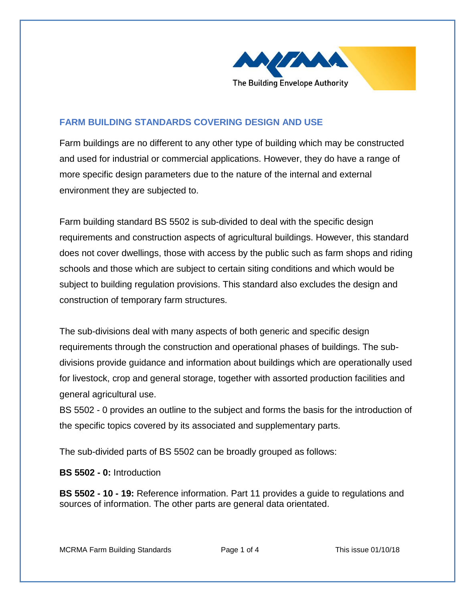

## **FARM BUILDING STANDARDS COVERING DESIGN AND USE**

Farm buildings are no different to any other type of building which may be constructed and used for industrial or commercial applications. However, they do have a range of more specific design parameters due to the nature of the internal and external environment they are subjected to.

Farm building standard BS 5502 is sub-divided to deal with the specific design requirements and construction aspects of agricultural buildings. However, this standard does not cover dwellings, those with access by the public such as farm shops and riding schools and those which are subject to certain siting conditions and which would be subject to building regulation provisions. This standard also excludes the design and construction of temporary farm structures.

The sub-divisions deal with many aspects of both generic and specific design requirements through the construction and operational phases of buildings. The subdivisions provide guidance and information about buildings which are operationally used for livestock, crop and general storage, together with assorted production facilities and general agricultural use.

BS 5502 - 0 provides an outline to the subject and forms the basis for the introduction of the specific topics covered by its associated and supplementary parts.

The sub-divided parts of BS 5502 can be broadly grouped as follows:

**BS 5502 - 0:** Introduction

**BS 5502 - 10 - 19:** Reference information. Part 11 provides a guide to regulations and sources of information. The other parts are general data orientated.

MCRMA Farm Building Standards Page 1 of 4 This issue 01/10/18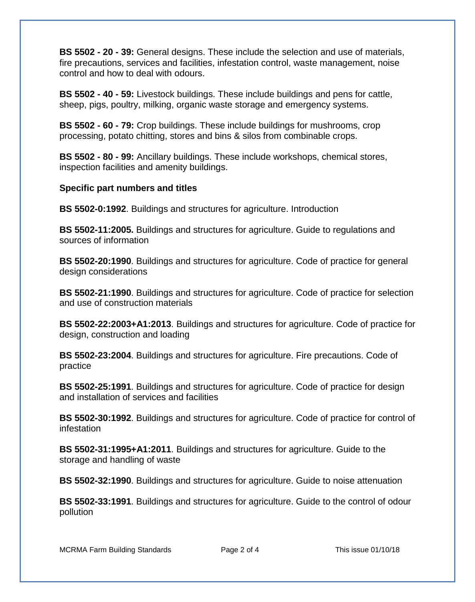**BS 5502 - 20 - 39:** General designs. These include the selection and use of materials, fire precautions, services and facilities, infestation control, waste management, noise control and how to deal with odours.

**BS 5502 - 40 - 59:** Livestock buildings. These include buildings and pens for cattle, sheep, pigs, poultry, milking, organic waste storage and emergency systems.

**BS 5502 - 60 - 79:** Crop buildings. These include buildings for mushrooms, crop processing, potato chitting, stores and bins & silos from combinable crops.

**BS 5502 - 80 - 99:** Ancillary buildings. These include workshops, chemical stores, inspection facilities and amenity buildings.

## **Specific part numbers and titles**

**BS 5502-0:1992**. Buildings and structures for agriculture. Introduction

**BS 5502-11:2005.** Buildings and structures for agriculture. Guide to regulations and sources of information

**BS 5502-20:1990**. Buildings and structures for agriculture. Code of practice for general design considerations

**BS 5502-21:1990**. Buildings and structures for agriculture. Code of practice for selection and use of construction materials

**BS 5502-22:2003+A1:2013**. Buildings and structures for agriculture. Code of practice for design, construction and loading

**BS 5502-23:2004**. Buildings and structures for agriculture. Fire precautions. Code of practice

**BS 5502-25:1991**. Buildings and structures for agriculture. Code of practice for design and installation of services and facilities

**BS 5502-30:1992**. Buildings and structures for agriculture. Code of practice for control of infestation

**BS 5502-31:1995+A1:2011**. Buildings and structures for agriculture. Guide to the storage and handling of waste

**BS 5502-32:1990**. Buildings and structures for agriculture. Guide to noise attenuation

**BS 5502-33:1991**. Buildings and structures for agriculture. Guide to the control of odour pollution

MCRMA Farm Building Standards Page 2 of 4 This issue 01/10/18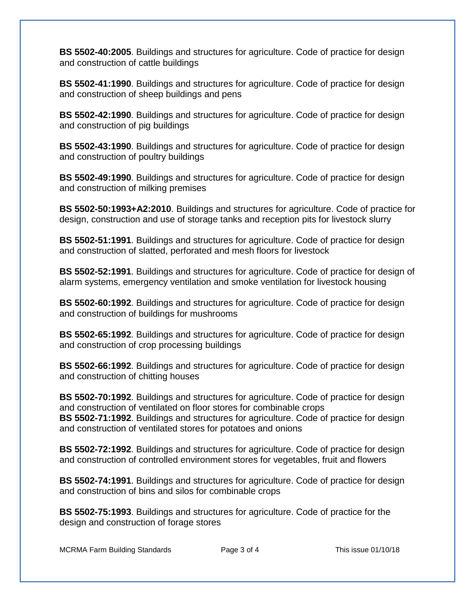**BS 5502-40:2005**. Buildings and structures for agriculture. Code of practice for design and construction of cattle buildings

**BS 5502-41:1990**. Buildings and structures for agriculture. Code of practice for design and construction of sheep buildings and pens

**BS 5502-42:1990**. Buildings and structures for agriculture. Code of practice for design and construction of pig buildings

**BS 5502-43:1990**. Buildings and structures for agriculture. Code of practice for design and construction of poultry buildings

**BS 5502-49:1990**. Buildings and structures for agriculture. Code of practice for design and construction of milking premises

**BS 5502-50:1993+A2:2010**. Buildings and structures for agriculture. Code of practice for design, construction and use of storage tanks and reception pits for livestock slurry

**BS 5502-51:1991**. Buildings and structures for agriculture. Code of practice for design and construction of slatted, perforated and mesh floors for livestock

**BS 5502-52:1991**. Buildings and structures for agriculture. Code of practice for design of alarm systems, emergency ventilation and smoke ventilation for livestock housing

**BS 5502-60:1992**. Buildings and structures for agriculture. Code of practice for design and construction of buildings for mushrooms

**BS 5502-65:1992**. Buildings and structures for agriculture. Code of practice for design and construction of crop processing buildings

**BS 5502-66:1992**. Buildings and structures for agriculture. Code of practice for design and construction of chitting houses

**BS 5502-70:1992**. Buildings and structures for agriculture. Code of practice for design and construction of ventilated on floor stores for combinable crops **BS 5502-71:1992**. Buildings and structures for agriculture. Code of practice for design and construction of ventilated stores for potatoes and onions

**BS 5502-72:1992**. Buildings and structures for agriculture. Code of practice for design and construction of controlled environment stores for vegetables, fruit and flowers

**BS 5502-74:1991**. Buildings and structures for agriculture. Code of practice for design and construction of bins and silos for combinable crops

**BS 5502-75:1993**. Buildings and structures for agriculture. Code of practice for the design and construction of forage stores

MCRMA Farm Building Standards Page 3 of 4 This issue 01/10/18